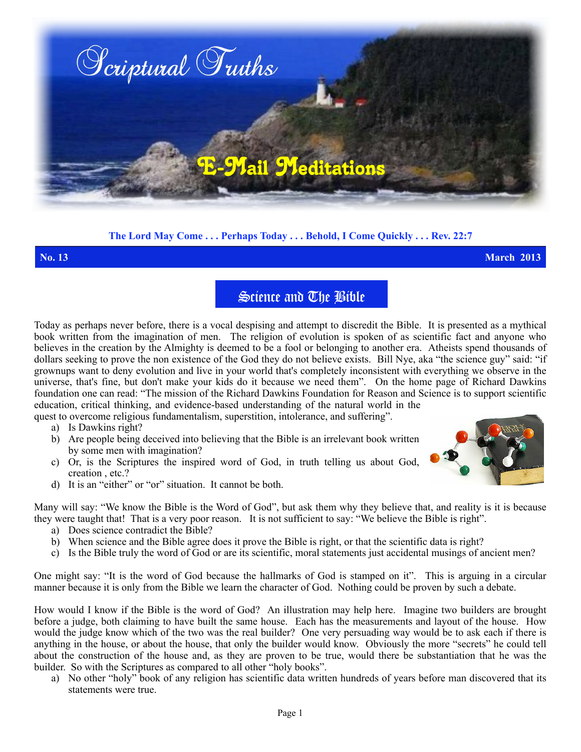

## **The Lord May Come . . . Perhaps Today . . . Behold, I Come Quickly . . . Rev. 22:7**

**No. 13 March 2013**

## Science and The Bible

Today as perhaps never before, there is a vocal despising and attempt to discredit the Bible. It is presented as a mythical book written from the imagination of men. The religion of evolution is spoken of as scientific fact and anyone who believes in the creation by the Almighty is deemed to be a fool or belonging to another era. Atheists spend thousands of dollars seeking to prove the non existence of the God they do not believe exists. Bill Nye, aka "the science guy" said: "if grownups want to deny evolution and live in your world that's completely inconsistent with everything we observe in the universe, that's fine, but don't make your kids do it because we need them". On the home page of Richard Dawkins foundation one can read: "The mission of the Richard Dawkins Foundation for Reason and Science is to support scientific education, critical thinking, and evidence-based understanding of the natural world in the

quest to overcome religious fundamentalism, superstition, intolerance, and suffering".

- a) Is Dawkins right?
- b) Are people being deceived into believing that the Bible is an irrelevant book written by some men with imagination?
- c) Or, is the Scriptures the inspired word of God, in truth telling us about God, creation , etc.?
- d) It is an "either" or "or" situation. It cannot be both.

Many will say: "We know the Bible is the Word of God", but ask them why they believe that, and reality is it is because they were taught that! That is a very poor reason. It is not sufficient to say: "We believe the Bible is right".

- a) Does science contradict the Bible?
- b) When science and the Bible agree does it prove the Bible is right, or that the scientific data is right?
- c) Is the Bible truly the word of God or are its scientific, moral statements just accidental musings of ancient men?

One might say: "It is the word of God because the hallmarks of God is stamped on it". This is arguing in a circular manner because it is only from the Bible we learn the character of God. Nothing could be proven by such a debate.

How would I know if the Bible is the word of God? An illustration may help here. Imagine two builders are brought before a judge, both claiming to have built the same house. Each has the measurements and layout of the house. How would the judge know which of the two was the real builder? One very persuading way would be to ask each if there is anything in the house, or about the house, that only the builder would know. Obviously the more "secrets" he could tell about the construction of the house and, as they are proven to be true, would there be substantiation that he was the builder. So with the Scriptures as compared to all other "holy books".

a) No other "holy" book of any religion has scientific data written hundreds of years before man discovered that its statements were true.

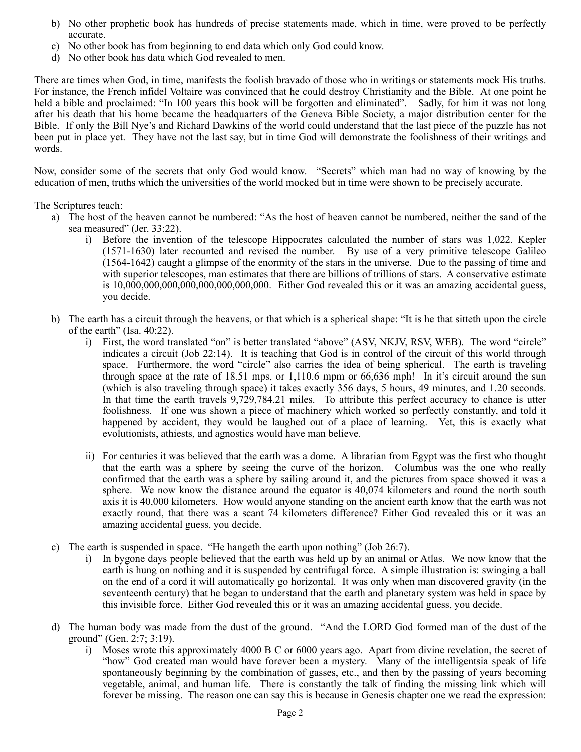- b) No other prophetic book has hundreds of precise statements made, which in time, were proved to be perfectly accurate.
- c) No other book has from beginning to end data which only God could know.
- d) No other book has data which God revealed to men.

There are times when God, in time, manifests the foolish bravado of those who in writings or statements mock His truths. For instance, the French infidel Voltaire was convinced that he could destroy Christianity and the Bible. At one point he held a bible and proclaimed: "In 100 years this book will be forgotten and eliminated". Sadly, for him it was not long after his death that his home became the headquarters of the Geneva Bible Society, a major distribution center for the Bible. If only the Bill Nye's and Richard Dawkins of the world could understand that the last piece of the puzzle has not been put in place yet. They have not the last say, but in time God will demonstrate the foolishness of their writings and words.

Now, consider some of the secrets that only God would know. "Secrets" which man had no way of knowing by the education of men, truths which the universities of the world mocked but in time were shown to be precisely accurate.

The Scriptures teach:

- a) The host of the heaven cannot be numbered: "As the host of heaven cannot be numbered, neither the sand of the sea measured" (Jer. 33:22).
	- i) Before the invention of the telescope Hippocrates calculated the number of stars was 1,022. Kepler (1571-1630) later recounted and revised the number. By use of a very primitive telescope Galileo (1564-1642) caught a glimpse of the enormity of the stars in the universe. Due to the passing of time and with superior telescopes, man estimates that there are billions of trillions of stars. A conservative estimate is 10,000,000,000,000,000,000,000,000. Either God revealed this or it was an amazing accidental guess, you decide.
- b) The earth has a circuit through the heavens, or that which is a spherical shape: "It is he that sitteth upon the circle of the earth" (Isa. 40:22).
	- i) First, the word translated "on" is better translated "above" (ASV, NKJV, RSV, WEB). The word "circle" indicates a circuit (Job 22:14). It is teaching that God is in control of the circuit of this world through space. Furthermore, the word "circle" also carries the idea of being spherical. The earth is traveling through space at the rate of 18.51 mps, or 1,110.6 mpm or 66,636 mph! In it's circuit around the sun (which is also traveling through space) it takes exactly 356 days, 5 hours, 49 minutes, and 1.20 seconds. In that time the earth travels 9,729,784.21 miles. To attribute this perfect accuracy to chance is utter foolishness. If one was shown a piece of machinery which worked so perfectly constantly, and told it happened by accident, they would be laughed out of a place of learning. Yet, this is exactly what evolutionists, athiests, and agnostics would have man believe.
	- ii) For centuries it was believed that the earth was a dome. A librarian from Egypt was the first who thought that the earth was a sphere by seeing the curve of the horizon. Columbus was the one who really confirmed that the earth was a sphere by sailing around it, and the pictures from space showed it was a sphere. We now know the distance around the equator is 40,074 kilometers and round the north south axis it is 40,000 kilometers. How would anyone standing on the ancient earth know that the earth was not exactly round, that there was a scant 74 kilometers difference? Either God revealed this or it was an amazing accidental guess, you decide.
- c) The earth is suspended in space. "He hangeth the earth upon nothing" (Job 26:7).
	- i) In bygone days people believed that the earth was held up by an animal or Atlas. We now know that the earth is hung on nothing and it is suspended by centrifugal force. A simple illustration is: swinging a ball on the end of a cord it will automatically go horizontal. It was only when man discovered gravity (in the seventeenth century) that he began to understand that the earth and planetary system was held in space by this invisible force. Either God revealed this or it was an amazing accidental guess, you decide.
- d) The human body was made from the dust of the ground. "And the LORD God formed man of the dust of the ground" (Gen. 2:7; 3:19).
	- i) Moses wrote this approximately 4000 B C or 6000 years ago. Apart from divine revelation, the secret of "how" God created man would have forever been a mystery. Many of the intelligentsia speak of life spontaneously beginning by the combination of gasses, etc., and then by the passing of years becoming vegetable, animal, and human life. There is constantly the talk of finding the missing link which will forever be missing. The reason one can say this is because in Genesis chapter one we read the expression: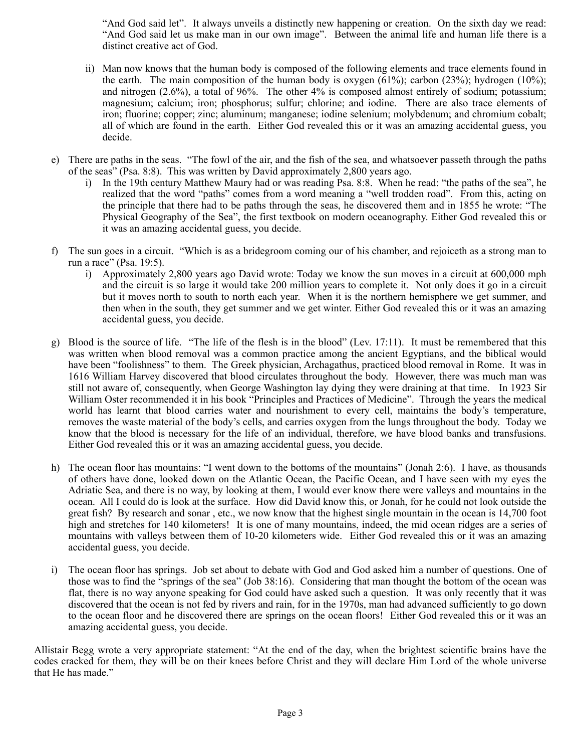"And God said let". It always unveils a distinctly new happening or creation. On the sixth day we read: "And God said let us make man in our own image". Between the animal life and human life there is a distinct creative act of God.

- ii) Man now knows that the human body is composed of the following elements and trace elements found in the earth. The main composition of the human body is oxygen  $(61\%)$ ; carbon  $(23\%)$ ; hydrogen  $(10\%)$ ; and nitrogen (2.6%), a total of 96%. The other 4% is composed almost entirely of sodium; potassium; magnesium; calcium; iron; phosphorus; sulfur; chlorine; and iodine. There are also trace elements of iron; fluorine; copper; zinc; aluminum; manganese; iodine selenium; molybdenum; and chromium cobalt; all of which are found in the earth. Either God revealed this or it was an amazing accidental guess, you decide.
- e) There are paths in the seas. "The fowl of the air, and the fish of the sea, and whatsoever passeth through the paths of the seas" (Psa. 8:8). This was written by David approximately 2,800 years ago.
	- i) In the 19th century Matthew Maury had or was reading Psa. 8:8. When he read: "the paths of the sea", he realized that the word "paths" comes from a word meaning a "well trodden road". From this, acting on the principle that there had to be paths through the seas, he discovered them and in 1855 he wrote: "The Physical Geography of the Sea", the first textbook on modern oceanography. Either God revealed this or it was an amazing accidental guess, you decide.
- f) The sun goes in a circuit. "Which is as a bridegroom coming our of his chamber, and rejoiceth as a strong man to run a race" (Psa. 19:5).
	- i) Approximately 2,800 years ago David wrote: Today we know the sun moves in a circuit at 600,000 mph and the circuit is so large it would take 200 million years to complete it. Not only does it go in a circuit but it moves north to south to north each year. When it is the northern hemisphere we get summer, and then when in the south, they get summer and we get winter. Either God revealed this or it was an amazing accidental guess, you decide.
- g) Blood is the source of life. "The life of the flesh is in the blood" (Lev. 17:11). It must be remembered that this was written when blood removal was a common practice among the ancient Egyptians, and the biblical would have been "foolishness" to them. The Greek physician, Archagathus, practiced blood removal in Rome. It was in 1616 William Harvey discovered that blood circulates throughout the body. However, there was much man was still not aware of, consequently, when George Washington lay dying they were draining at that time. In 1923 Sir William Oster recommended it in his book "Principles and Practices of Medicine". Through the years the medical world has learnt that blood carries water and nourishment to every cell, maintains the body's temperature, removes the waste material of the body's cells, and carries oxygen from the lungs throughout the body. Today we know that the blood is necessary for the life of an individual, therefore, we have blood banks and transfusions. Either God revealed this or it was an amazing accidental guess, you decide.
- h) The ocean floor has mountains: "I went down to the bottoms of the mountains" (Jonah 2:6). I have, as thousands of others have done, looked down on the Atlantic Ocean, the Pacific Ocean, and I have seen with my eyes the Adriatic Sea, and there is no way, by looking at them, I would ever know there were valleys and mountains in the ocean. All I could do is look at the surface. How did David know this, or Jonah, for he could not look outside the great fish? By research and sonar , etc., we now know that the highest single mountain in the ocean is 14,700 foot high and stretches for 140 kilometers! It is one of many mountains, indeed, the mid ocean ridges are a series of mountains with valleys between them of 10-20 kilometers wide. Either God revealed this or it was an amazing accidental guess, you decide.
- i) The ocean floor has springs. Job set about to debate with God and God asked him a number of questions. One of those was to find the "springs of the sea" (Job 38:16). Considering that man thought the bottom of the ocean was flat, there is no way anyone speaking for God could have asked such a question. It was only recently that it was discovered that the ocean is not fed by rivers and rain, for in the 1970s, man had advanced sufficiently to go down to the ocean floor and he discovered there are springs on the ocean floors! Either God revealed this or it was an amazing accidental guess, you decide.

Allistair Begg wrote a very appropriate statement: "At the end of the day, when the brightest scientific brains have the codes cracked for them, they will be on their knees before Christ and they will declare Him Lord of the whole universe that He has made."